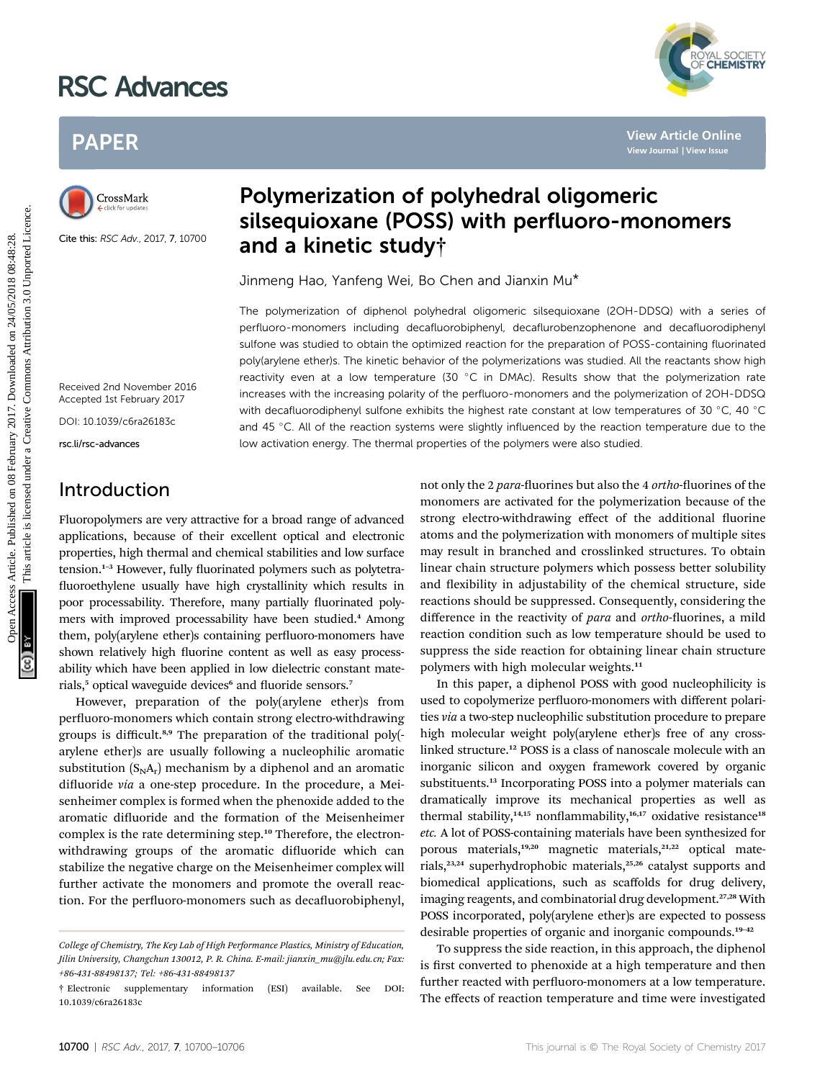# RSC Advances



# PAPER



Cite this: RSC Adv., 2017, 7, 10700

# Polymerization of polyhedral oligomeric silsequioxane (POSS) with perfluoro-monomers and a kinetic study†

Jinmeng Hao, Yanfeng Wei, Bo Chen and Jianxin Mu\*

The polymerization of diphenol polyhedral oligomeric silsequioxane (2OH-DDSQ) with a series of perfluoro-monomers including decafluorobiphenyl, decaflurobenzophenone and decafluorodiphenyl sulfone was studied to obtain the optimized reaction for the preparation of POSS-containing fluorinated poly(arylene ether)s. The kinetic behavior of the polymerizations was studied. All the reactants show high reactivity even at a low temperature (30  $^{\circ}$ C in DMAc). Results show that the polymerization rate increases with the increasing polarity of the perfluoro-monomers and the polymerization of 2OH-DDSQ with decafluorodiphenyl sulfone exhibits the highest rate constant at low temperatures of 30 °C, 40 °C and 45 °C. All of the reaction systems were slightly influenced by the reaction temperature due to the low activation energy. The thermal properties of the polymers were also studied. PAPER<br>
Polymerization of polyhedral oligomeric<br>
Silsequioxane (POSS) with perfluoro-monomers<br>
Silsequioxane (POSS) with perfluoro-monomers<br>
Silsequioxane (POSS) with perfluoro-monomers<br>
Silver the section of a kinetic stu

Received 2nd November 2016 Accepted 1st February 2017

DOI: 10.1039/c6ra26183c

rsc.li/rsc-advances

# Introduction

Fluoropolymers are very attractive for a broad range of advanced applications, because of their excellent optical and electronic properties, high thermal and chemical stabilities and low surface tension. $1-3$  However, fully fluorinated polymers such as polytetrafluoroethylene usually have high crystallinity which results in poor processability. Therefore, many partially fluorinated polymers with improved processability have been studied.<sup>4</sup> Among them, poly(arylene ether)s containing perfluoro-monomers have shown relatively high fluorine content as well as easy processability which have been applied in low dielectric constant materials,<sup>5</sup> optical waveguide devices<sup>6</sup> and fluoride sensors.<sup>7</sup>

However, preparation of the poly(arylene ether)s from perfluoro-monomers which contain strong electro-withdrawing groups is difficult.8,9 The preparation of the traditional poly( arylene ether)s are usually following a nucleophilic aromatic substitution  $(S<sub>N</sub>A<sub>r</sub>)$  mechanism by a diphenol and an aromatic difluoride via a one-step procedure. In the procedure, a Meisenheimer complex is formed when the phenoxide added to the aromatic difluoride and the formation of the Meisenheimer complex is the rate determining step.<sup>10</sup> Therefore, the electronwithdrawing groups of the aromatic difluoride which can stabilize the negative charge on the Meisenheimer complex will further activate the monomers and promote the overall reaction. For the perfluoro-monomers such as decafluorobiphenyl,

not only the 2 para-fluorines but also the 4 ortho-fluorines of the monomers are activated for the polymerization because of the strong electro-withdrawing effect of the additional fluorine atoms and the polymerization with monomers of multiple sites may result in branched and crosslinked structures. To obtain linear chain structure polymers which possess better solubility and flexibility in adjustability of the chemical structure, side reactions should be suppressed. Consequently, considering the difference in the reactivity of para and ortho-fluorines, a mild reaction condition such as low temperature should be used to suppress the side reaction for obtaining linear chain structure polymers with high molecular weights.<sup>11</sup>

In this paper, a diphenol POSS with good nucleophilicity is used to copolymerize perfluoro-monomers with different polarities via a two-step nucleophilic substitution procedure to prepare high molecular weight poly(arylene ether)s free of any crosslinked structure.<sup>12</sup> POSS is a class of nanoscale molecule with an inorganic silicon and oxygen framework covered by organic substituents.<sup>13</sup> Incorporating POSS into a polymer materials can dramatically improve its mechanical properties as well as thermal stability,<sup>14,15</sup> nonflammability,<sup>16,17</sup> oxidative resistance<sup>18</sup> etc. A lot of POSS-containing materials have been synthesized for porous materials,<sup>19,20</sup> magnetic materials,<sup>21,22</sup> optical materials,<sup>23,24</sup> superhydrophobic materials,<sup>25,26</sup> catalyst supports and biomedical applications, such as scaffolds for drug delivery, imaging reagents, and combinatorial drug development.<sup>27,28</sup> With POSS incorporated, poly(arylene ether)s are expected to possess desirable properties of organic and inorganic compounds.<sup>19-42</sup>

To suppress the side reaction, in this approach, the diphenol is first converted to phenoxide at a high temperature and then further reacted with perfluoro-monomers at a low temperature. The effects of reaction temperature and time were investigated

College of Chemistry, The Key Lab of High Performance Plastics, Ministry of Education, Jilin University, Changchun 130012, P. R. China. E-mail: jianxin\_mu@jlu.edu.cn; Fax: +86-431-88498137; Tel: +86-431-88498137

<sup>†</sup> Electronic supplementary information (ESI) available. See DOI: 10.1039/c6ra26183c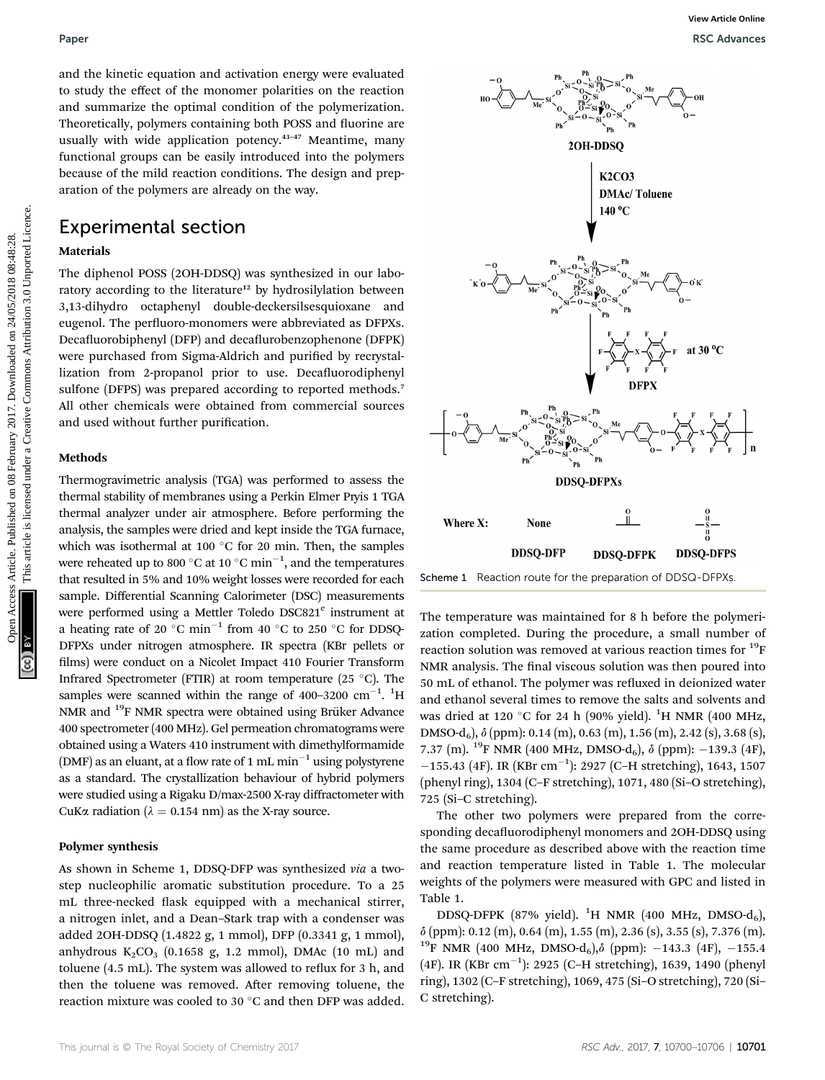and the kinetic equation and activation energy were evaluated to study the effect of the monomer polarities on the reaction and summarize the optimal condition of the polymerization. Theoretically, polymers containing both POSS and fluorine are usually with wide application potency.<sup>43-47</sup> Meantime, many functional groups can be easily introduced into the polymers because of the mild reaction conditions. The design and preparation of the polymers are already on the way.

### Experimental section

#### Materials

The diphenol POSS (2OH-DDSQ) was synthesized in our laboratory according to the literature<sup>12</sup> by hydrosilylation between 3,13-dihydro octaphenyl double-deckersilsesquioxane and eugenol. The perfluoro-monomers were abbreviated as DFPXs. Decafluorobiphenyl (DFP) and decaflurobenzophenone (DFPK) were purchased from Sigma-Aldrich and purified by recrystallization from 2-propanol prior to use. Decafluorodiphenyl sulfone (DFPS) was prepared according to reported methods.<sup>7</sup> All other chemicals were obtained from commercial sources and used without further purification.

#### Methods

Thermogravimetric analysis (TGA) was performed to assess the thermal stability of membranes using a Perkin Elmer Pryis 1 TGA thermal analyzer under air atmosphere. Before performing the analysis, the samples were dried and kept inside the TGA furnace, which was isothermal at 100  $^{\circ}$ C for 20 min. Then, the samples were reheated up to 800  $^{\circ} \mathrm{C}$  at 10  $^{\circ} \mathrm{C}$  min $^{-1} ,$  and the temperatures that resulted in 5% and 10% weight losses were recorded for each sample. Differential Scanning Calorimeter (DSC) measurements were performed using a Mettler Toledo DSC821<sup>e</sup> instrument at a heating rate of 20 °C min<sup>-1</sup> from 40 °C to 250 °C for DDSQ-DFPXs under nitrogen atmosphere. IR spectra (KBr pellets or films) were conduct on a Nicolet Impact 410 Fourier Transform Infrared Spectrometer (FTIR) at room temperature (25  $^{\circ}$ C). The samples were scanned within the range of  $400-3200$   $cm^{-1}$ .  $^{1}$ H NMR and <sup>19</sup>F NMR spectra were obtained using Brüker Advance 400 spectrometer (400 MHz). Gel permeation chromatograms were obtained using a Waters 410 instrument with dimethylformamide (DMF) as an eluant, at a flow rate of 1 mL min<sup>-1</sup> using polystyrene as a standard. The crystallization behaviour of hybrid polymers were studied using a Rigaku D/max-2500 X-ray diffractometer with CuKa radiation ( $\lambda = 0.154$  nm) as the X-ray source.

#### Polymer synthesis

As shown in Scheme 1, DDSQ-DFP was synthesized via a twostep nucleophilic aromatic substitution procedure. To a 25 mL three-necked flask equipped with a mechanical stirrer, a nitrogen inlet, and a Dean–Stark trap with a condenser was added 2OH-DDSQ (1.4822 g, 1 mmol), DFP (0.3341 g, 1 mmol), anhydrous  $K_2CO_3$  (0.1658 g, 1.2 mmol), DMAc (10 mL) and toluene  $(4.5 \text{ mL})$ . The system was allowed to reflux for 3 h, and then the toluene was removed. After removing toluene, the reaction mixture was cooled to 30 $\degree$ C and then DFP was added.



Scheme 1 Reaction route for the preparation of DDSQ-DFPXs

The temperature was maintained for 8 h before the polymerization completed. During the procedure, a small number of reaction solution was removed at various reaction times for  $^{19}$ F NMR analysis. The final viscous solution was then poured into 50 mL of ethanol. The polymer was refluxed in deionized water and ethanol several times to remove the salts and solvents and was dried at 120 °C for 24 h (90% yield).  $^{1} \text{H}$  NMR (400 MHz, DMSO-d6), d (ppm): 0.14 (m), 0.63 (m), 1.56 (m), 2.42 (s), 3.68 (s), 7.37 (m). <sup>19</sup>F NMR (400 MHz, DMSO-d<sub>6</sub>),  $\delta$  (ppm): -139.3 (4F),  $-155.43$  (4F). IR (KBr cm<sup>-1</sup>): 2927 (C-H stretching), 1643, 1507 (phenyl ring), 1304 (C–F stretching), 1071, 480 (Si–O stretching), 725 (Si–C stretching).

The other two polymers were prepared from the corresponding decafluorodiphenyl monomers and 2OH-DDSO using the same procedure as described above with the reaction time and reaction temperature listed in Table 1. The molecular weights of the polymers were measured with GPC and listed in Table 1.

DDSQ-DFPK (87% yield).  ${}^{1}H$  NMR (400 MHz, DMSO-d<sub>6</sub>),  $\delta$  (ppm): 0.12 (m), 0.64 (m), 1.55 (m), 2.36 (s), 3.55 (s), 7.376 (m). <sup>19</sup>F NMR (400 MHz, DMSO-d<sub>6</sub>), $\delta$  (ppm): -143.3 (4F), -155.4 (4F). IR (KBr cm<sup>-1</sup>): 2925 (C-H stretching), 1639, 1490 (phenyl ring), 1302 (C–F stretching), 1069, 475 (Si–O stretching), 720 (Si– C stretching).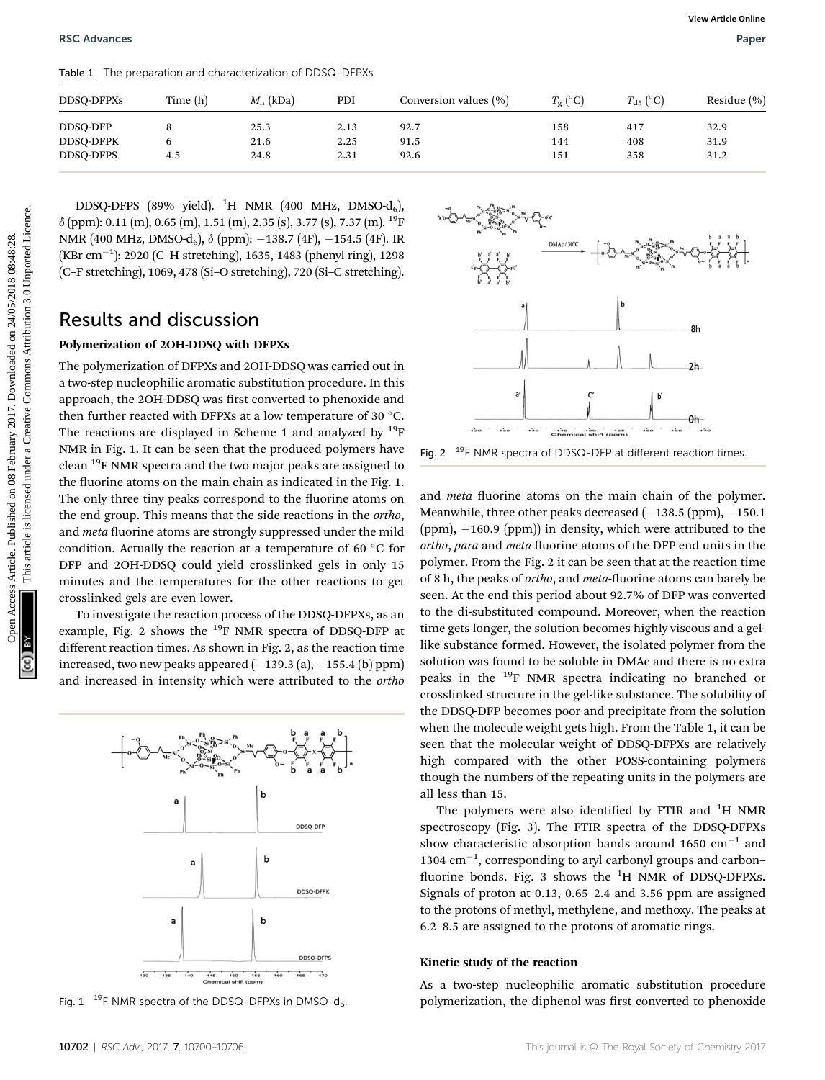Table 1 The preparation and characterization of DDSQ-DFPXs

| <b>DDSQ-DFPXs</b> | Time (h) | $M_{\rm n}$ (kDa) | PDI  | Conversion values (%) | $T_{\rm o}$ (°C) | $T_{d5}$ (°C) | Residue $(\% )$ |
|-------------------|----------|-------------------|------|-----------------------|------------------|---------------|-----------------|
| DDSQ-DFP          |          | 25.3              | 2.13 | 92.7                  | 158              | 417           | 32.9            |
| <b>DDSQ-DFPK</b>  |          | 21.6              | 2.25 | 91.5                  | 144              | 408           | 31.9            |
| DDSO-DFPS         | 4.5      | 24.8              | 2.31 | 92.6                  | 151              | 358           | 31.2            |

DDSQ-DFPS (89% yield).  ${}^{1}$ H NMR (400 MHz, DMSO-d<sub>6</sub>),  $\delta$  (ppm): 0.11 (m), 0.65 (m), 1.51 (m), 2.35 (s), 3.77 (s), 7.37 (m). <sup>19</sup>F NMR (400 MHz, DMSO-d<sub>6</sub>),  $\delta$  (ppm):  $-138.7$  (4F),  $-154.5$  (4F). IR (KBr cm<sup>-1</sup>): 2920 (C-H stretching), 1635, 1483 (phenyl ring), 1298 (C–F stretching), 1069, 478 (Si–O stretching), 720 (Si–C stretching).

# Results and discussion

### Polymerization of 2OH-DDSQ with DFPXs

The polymerization of DFPXs and 2OH-DDSQ was carried out in a two-step nucleophilic aromatic substitution procedure. In this approach, the 2OH-DDSQ was first converted to phenoxide and then further reacted with DFPXs at a low temperature of 30  $^{\circ}$ C. The reactions are displayed in Scheme 1 and analyzed by  $^{19}$ F NMR in Fig. 1. It can be seen that the produced polymers have clean <sup>19</sup>F NMR spectra and the two major peaks are assigned to the fluorine atoms on the main chain as indicated in the Fig. 1. The only three tiny peaks correspond to the fluorine atoms on the end group. This means that the side reactions in the ortho, and meta fluorine atoms are strongly suppressed under the mild condition. Actually the reaction at a temperature of 60 $\degree$ C for DFP and 2OH-DDSQ could yield crosslinked gels in only 15 minutes and the temperatures for the other reactions to get crosslinked gels are even lower. **ISC Arbaness**<br>
The 1 Text present and characterization of DCSO-DTP/s<br>
DRSQ-DETS<br>
DRSQ-DETS<br>
(Specifical Access Assn. 2018)<br>  $\frac{1}{2}$ <br>
DISQ-DETS (89% yield), <sup>1</sup>H NME (400 MHz, DNSO d<sub>3</sub>)<br>  $\frac{1}{2}$ <br>
DISQ-DETS (89% yield

To investigate the reaction process of the DDSQ-DFPXs, as an example, Fig. 2 shows the  $^{19}$ F NMR spectra of DDSQ-DFP at different reaction times. As shown in Fig. 2, as the reaction time increased, two new peaks appeared  $(-139.3$  (a),  $-155.4$  (b) ppm) and increased in intensity which were attributed to the ortho



Fig. 1  $^{19}$ F NMR spectra of the DDSQ-DFPXs in DMSO-d<sub>6</sub>.



Fig. 2  $19F$  NMR spectra of DDSQ-DFP at different reaction times.

and *meta* fluorine atoms on the main chain of the polymer. Meanwhile, three other peaks decreased  $(-138.5$  (ppm),  $-150.1$ (ppm),  $-160.9$  (ppm)) in density, which were attributed to the ortho, para and meta fluorine atoms of the DFP end units in the polymer. From the Fig. 2 it can be seen that at the reaction time of 8 h, the peaks of *ortho*, and *meta*-fluorine atoms can barely be seen. At the end this period about 92.7% of DFP was converted to the di-substituted compound. Moreover, when the reaction time gets longer, the solution becomes highly viscous and a gellike substance formed. However, the isolated polymer from the solution was found to be soluble in DMAc and there is no extra peaks in the 19F NMR spectra indicating no branched or crosslinked structure in the gel-like substance. The solubility of the DDSQ-DFP becomes poor and precipitate from the solution when the molecule weight gets high. From the Table 1, it can be seen that the molecular weight of DDSQ-DFPXs are relatively high compared with the other POSS-containing polymers though the numbers of the repeating units in the polymers are all less than 15.

The polymers were also identified by FTIR and  $^{1}$ H NMR spectroscopy (Fig. 3). The FTIR spectra of the DDSQ-DFPXs show characteristic absorption bands around 1650  $cm^{-1}$  and  $1304$   $cm^{-1}$ , corresponding to aryl carbonyl groups and carbonfluorine bonds. Fig. 3 shows the <sup>1</sup>H NMR of DDSQ-DFPXs. Signals of proton at 0.13, 0.65–2.4 and 3.56 ppm are assigned to the protons of methyl, methylene, and methoxy. The peaks at 6.2–8.5 are assigned to the protons of aromatic rings.

#### Kinetic study of the reaction

As a two-step nucleophilic aromatic substitution procedure polymerization, the diphenol was first converted to phenoxide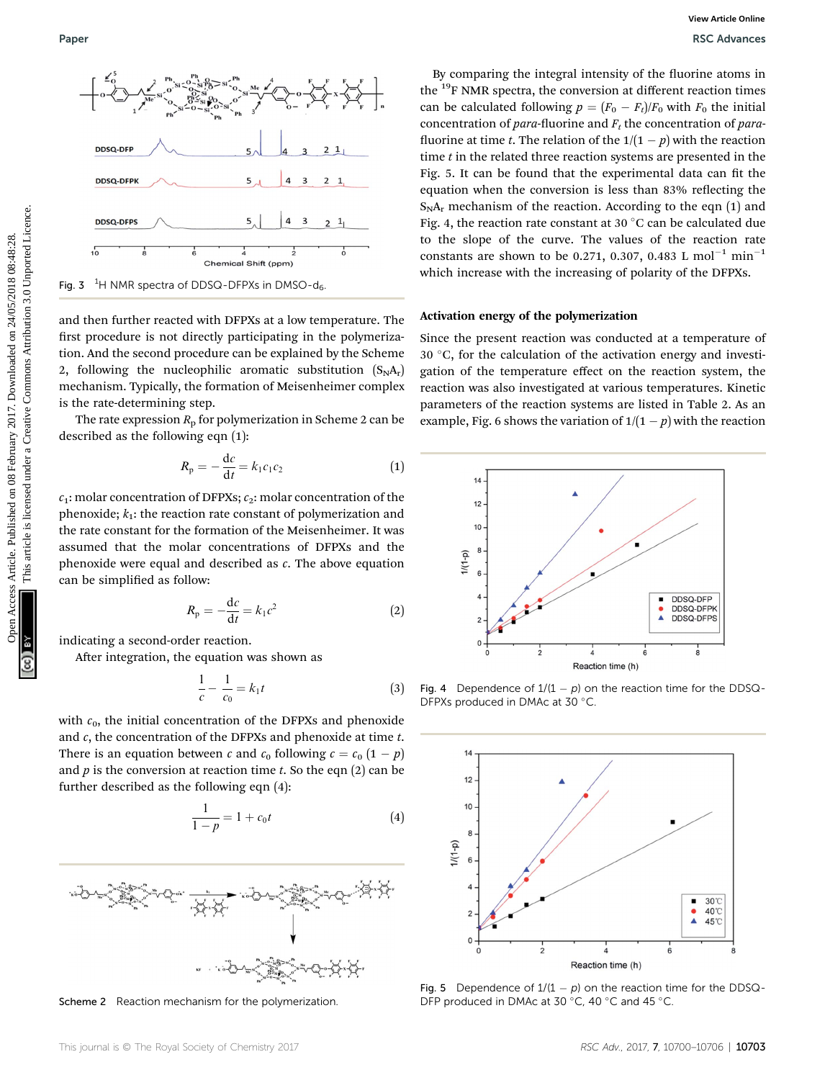

and then further reacted with DFPXs at a low temperature. The first procedure is not directly participating in the polymerization. And the second procedure can be explained by the Scheme 2, following the nucleophilic aromatic substitution  $(S_N A_r)$ mechanism. Typically, the formation of Meisenheimer complex is the rate-determining step.

The rate expression  $R<sub>p</sub>$  for polymerization in Scheme 2 can be described as the following eqn (1):

$$
R_{\rm p} = -\frac{\mathrm{d}c}{\mathrm{d}t} = k_1 c_1 c_2 \tag{1}
$$

 $c_1$ : molar concentration of DFPXs;  $c_2$ : molar concentration of the phenoxide;  $k_1$ : the reaction rate constant of polymerization and the rate constant for the formation of the Meisenheimer. It was assumed that the molar concentrations of DFPXs and the phenoxide were equal and described as  $c$ . The above equation can be simplified as follow:

$$
R_{\rm p} = -\frac{\mathrm{d}c}{\mathrm{d}t} = k_1 c^2 \tag{2}
$$

indicating a second-order reaction.

After integration, the equation was shown as

$$
\frac{1}{c} - \frac{1}{c_0} = k_1 t \tag{3}
$$

with  $c_0$ , the initial concentration of the DFPXs and phenoxide and  $c$ , the concentration of the DFPXs and phenoxide at time  $t$ . There is an equation between c and  $c_0$  following  $c = c_0 (1 - p)$ and  $p$  is the conversion at reaction time  $t$ . So the eqn  $(2)$  can be further described as the following eqn (4):

$$
\frac{1}{1-p} = 1 + c_0 t \tag{4}
$$



Scheme 2 Reaction mechanism for the polymerization.

By comparing the integral intensity of the fluorine atoms in the  $19F$  NMR spectra, the conversion at different reaction times can be calculated following  $p = (F_0 - F_t)/F_0$  with  $F_0$  the initial concentration of *para*-fluorine and  $F_t$  the concentration of *para*fluorine at time t. The relation of the  $1/(1-p)$  with the reaction time  $t$  in the related three reaction systems are presented in the Fig. 5. It can be found that the experimental data can fit the equation when the conversion is less than 83% reflecting the  $S_N A_r$  mechanism of the reaction. According to the eqn (1) and Fig. 4, the reaction rate constant at 30  $\degree$ C can be calculated due to the slope of the curve. The values of the reaction rate constants are shown to be 0.271, 0.307, 0.483 L mol<sup>-1</sup> min<sup>-1</sup> which increase with the increasing of polarity of the DFPXs.

#### Activation energy of the polymerization

Since the present reaction was conducted at a temperature of  $30 °C$ , for the calculation of the activation energy and investigation of the temperature effect on the reaction system, the reaction was also investigated at various temperatures. Kinetic parameters of the reaction systems are listed in Table 2. As an example, Fig. 6 shows the variation of  $1/(1-p)$  with the reaction



Fig. 4 Dependence of  $1/(1 - p)$  on the reaction time for the DDSQ-DFPXs produced in DMAc at 30 °C.



Fig. 5 Dependence of  $1/(1 - p)$  on the reaction time for the DDSQ-DFP produced in DMAc at 30 °C, 40 °C and 45 °C.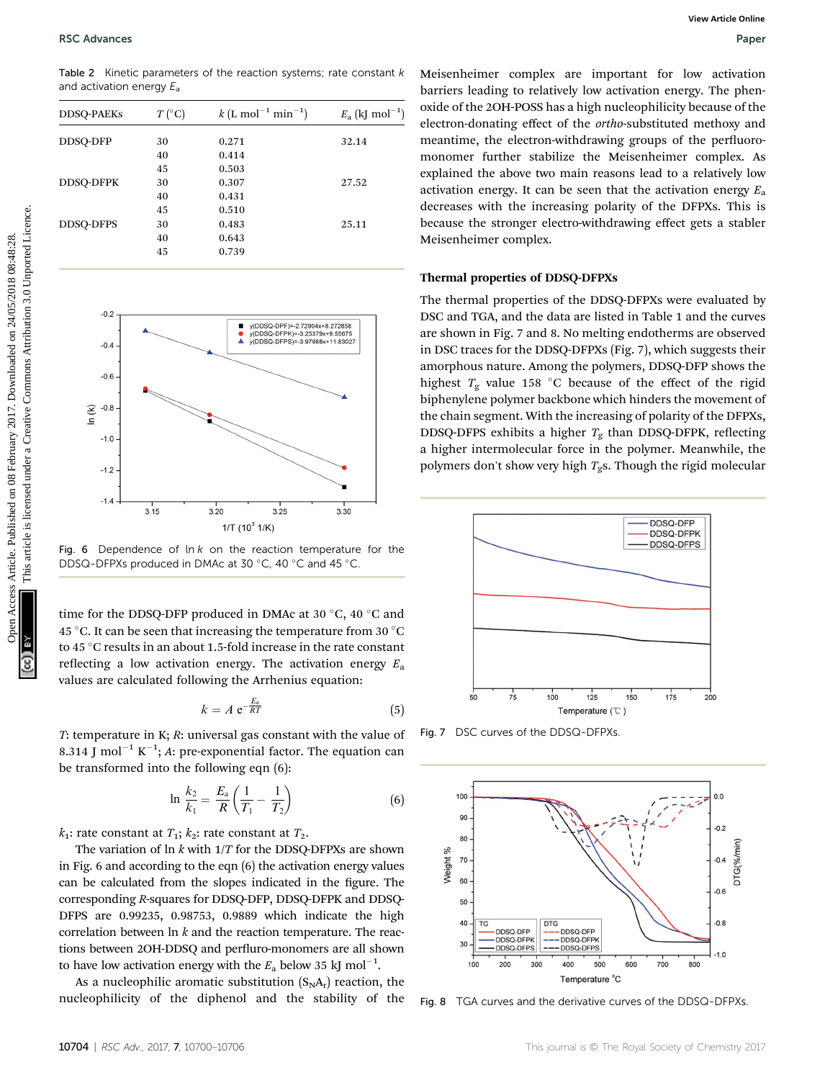Table 2 Kinetic parameters of the reaction systems; rate constant  $k$ and activation energy  $E_a$ 

| <b>DDSQ-PAEKs</b> | $T(^{\circ}C)$ | $k$ (L mol <sup>-1</sup> min <sup>-1</sup> ) | $E_{\rm a}$ (kJ mol <sup>-1</sup> ) |
|-------------------|----------------|----------------------------------------------|-------------------------------------|
| DDSQ-DFP          | 30             | 0.271                                        | 32.14                               |
|                   | 40             | 0.414                                        |                                     |
|                   | 45             | 0.503                                        |                                     |
| <b>DDSO-DFPK</b>  | 30             | 0.307                                        | 27.52                               |
|                   | 40             | 0.431                                        |                                     |
|                   | 45             | 0.510                                        |                                     |
| <b>DDSO-DFPS</b>  | 30             | 0.483                                        | 25.11                               |
|                   | 40             | 0.643                                        |                                     |
|                   | 45             | 0.739                                        |                                     |



Fig. 6 Dependence of  $\ln k$  on the reaction temperature for the DDSQ-DFPXs produced in DMAc at 30 °C, 40 °C and 45 °C.

time for the DDSQ-DFP produced in DMAc at 30  $^{\circ}$ C, 40  $^{\circ}$ C and 45 °C. It can be seen that increasing the temperature from 30 °C to 45 °C results in an about 1.5-fold increase in the rate constant reflecting a low activation energy. The activation energy  $E_a$ values are calculated following the Arrhenius equation:

$$
k = A e^{-\frac{E_a}{RT}} \tag{5}
$$

T: temperature in K; R: universal gas constant with the value of 8.314 J mol $^{-1}$  K $^{-1}$ ; A: pre-exponential factor. The equation can be transformed into the following eqn (6):

$$
\ln \frac{k_2}{k_1} = \frac{E_a}{R} \left( \frac{1}{T_1} - \frac{1}{T_2} \right) \tag{6}
$$

 $k_1$ : rate constant at  $T_1$ ;  $k_2$ : rate constant at  $T_2$ .

The variation of  $\ln k$  with  $1/T$  for the DDSQ-DFPXs are shown in Fig. 6 and according to the eqn (6) the activation energy values can be calculated from the slopes indicated in the figure. The corresponding R-squares for DDSQ-DFP, DDSQ-DFPK and DDSQ-DFPS are 0.99235, 0.98753, 0.9889 which indicate the high correlation between  $\ln k$  and the reaction temperature. The reactions between 2OH-DDSQ and perfluro-monomers are all shown to have low activation energy with the  $E_{\rm a}$  below 35 kJ mol<sup>-1</sup>.

As a nucleophilic aromatic substitution  $(S_N A_r)$  reaction, the nucleophilicity of the diphenol and the stability of the Meisenheimer complex are important for low activation barriers leading to relatively low activation energy. The phenoxide of the 2OH-POSS has a high nucleophilicity because of the electron-donating effect of the ortho-substituted methoxy and meantime, the electron-withdrawing groups of the perfluoromonomer further stabilize the Meisenheimer complex. As explained the above two main reasons lead to a relatively low activation energy. It can be seen that the activation energy  $E_a$ decreases with the increasing polarity of the DFPXs. This is because the stronger electro-withdrawing effect gets a stabler Meisenheimer complex.

#### Thermal properties of DDSQ-DFPXs

The thermal properties of the DDSQ-DFPXs were evaluated by DSC and TGA, and the data are listed in Table 1 and the curves are shown in Fig. 7 and 8. No melting endotherms are observed in DSC traces for the DDSQ-DFPXs (Fig. 7), which suggests their amorphous nature. Among the polymers, DDSQ-DFP shows the highest  $T_g$  value 158 °C because of the effect of the rigid biphenylene polymer backbone which hinders the movement of the chain segment. With the increasing of polarity of the DFPXs, DDSQ-DFPS exhibits a higher  $T_g$  than DDSQ-DFPK, reflecting a higher intermolecular force in the polymer. Meanwhile, the polymers don't show very high  $T_g$ s. Though the rigid molecular



Fig. 7 DSC curves of the DDSQ-DFPXs.



Fig. 8 TGA curves and the derivative curves of the DDSQ-DFPXs.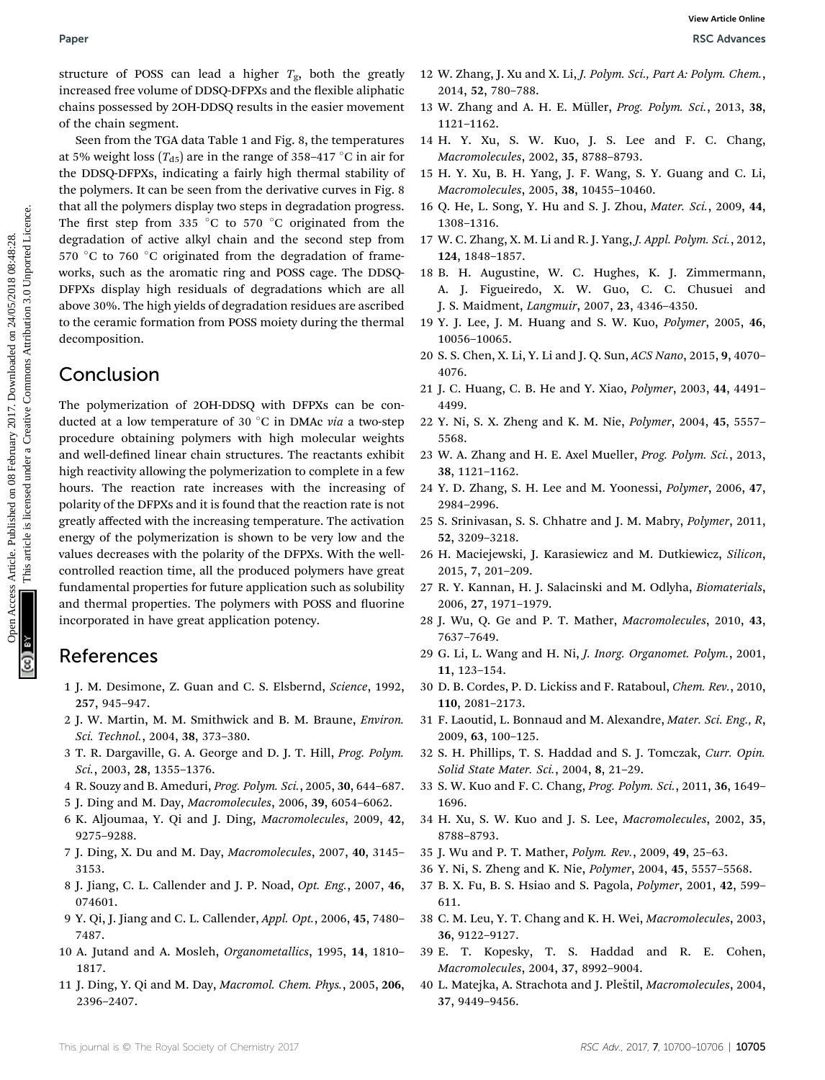structure of POSS can lead a higher  $T_{\varphi}$ , both the greatly increased free volume of DDSQ-DFPXs and the flexible aliphatic chains possessed by 2OH-DDSQ results in the easier movement of the chain segment.

Seen from the TGA data Table 1 and Fig. 8, the temperatures at 5% weight loss ( $T_{d5}$ ) are in the range of 358–417 °C in air for the DDSQ-DFPXs, indicating a fairly high thermal stability of the polymers. It can be seen from the derivative curves in Fig. 8 that all the polymers display two steps in degradation progress. The first step from 335  $\degree$ C to 570  $\degree$ C originated from the degradation of active alkyl chain and the second step from 570 °C to 760 °C originated from the degradation of frameworks, such as the aromatic ring and POSS cage. The DDSQ-DFPXs display high residuals of degradations which are all above 30%. The high yields of degradation residues are ascribed to the ceramic formation from POSS moiety during the thermal decomposition.

# Conclusion

The polymerization of 2OH-DDSQ with DFPXs can be conducted at a low temperature of 30  $^{\circ}$ C in DMAc via a two-step procedure obtaining polymers with high molecular weights and well-defined linear chain structures. The reactants exhibit high reactivity allowing the polymerization to complete in a few hours. The reaction rate increases with the increasing of polarity of the DFPXs and it is found that the reaction rate is not greatly affected with the increasing temperature. The activation energy of the polymerization is shown to be very low and the values decreases with the polarity of the DFPXs. With the wellcontrolled reaction time, all the produced polymers have great fundamental properties for future application such as solubility and thermal properties. The polymers with POSS and fluorine incorporated in have great application potency. Paper<br>
SEA Above SEA Above SEA Above SEA ARTICLE (Fig. 1913). The statistical interesting and the tricline is liken are statistically interesting and the statistical interesting and the statistical interesting a single st

# References

- 1 J. M. Desimone, Z. Guan and C. S. Elsbernd, Science, 1992, 257, 945–947.
- 2 J. W. Martin, M. M. Smithwick and B. M. Braune, Environ. Sci. Technol., 2004, 38, 373–380.
- 3 T. R. Dargaville, G. A. George and D. J. T. Hill, Prog. Polym. Sci., 2003, 28, 1355–1376.
- 4 R. Souzy and B. Ameduri, Prog. Polym. Sci., 2005, 30, 644–687.
- 5 J. Ding and M. Day, Macromolecules, 2006, 39, 6054–6062.
- 6 K. Aljoumaa, Y. Qi and J. Ding, Macromolecules, 2009, 42, 9275–9288.
- 7 J. Ding, X. Du and M. Day, Macromolecules, 2007, 40, 3145– 3153.
- 8 J. Jiang, C. L. Callender and J. P. Noad, Opt. Eng., 2007, 46, 074601.
- 9 Y. Qi, J. Jiang and C. L. Callender, Appl. Opt., 2006, 45, 7480– 7487.
- 10 A. Jutand and A. Mosleh, Organometallics, 1995, 14, 1810– 1817.
- 11 J. Ding, Y. Qi and M. Day, Macromol. Chem. Phys., 2005, 206, 2396–2407.
- 12 W. Zhang, J. Xu and X. Li, J. Polym. Sci., Part A: Polym. Chem., 2014, 52, 780–788.
- 13 W. Zhang and A. H. E. Müller, Prog. Polym. Sci., 2013, 38, 1121–1162.
- 14 H. Y. Xu, S. W. Kuo, J. S. Lee and F. C. Chang, Macromolecules, 2002, 35, 8788–8793.
- 15 H. Y. Xu, B. H. Yang, J. F. Wang, S. Y. Guang and C. Li, Macromolecules, 2005, 38, 10455–10460.
- 16 Q. He, L. Song, Y. Hu and S. J. Zhou, Mater. Sci., 2009, 44, 1308–1316.
- 17 W. C. Zhang, X. M. Li and R. J. Yang, J. Appl. Polym. Sci., 2012, 124, 1848–1857.
- 18 B. H. Augustine, W. C. Hughes, K. J. Zimmermann, A. J. Figueiredo, X. W. Guo, C. C. Chusuei and J. S. Maidment, Langmuir, 2007, 23, 4346–4350.
- 19 Y. J. Lee, J. M. Huang and S. W. Kuo, Polymer, 2005, 46, 10056–10065.
- 20 S. S. Chen, X. Li, Y. Li and J. Q. Sun, ACS Nano, 2015, 9, 4070– 4076.
- 21 J. C. Huang, C. B. He and Y. Xiao, Polymer, 2003, 44, 4491– 4499.
- 22 Y. Ni, S. X. Zheng and K. M. Nie, Polymer, 2004, 45, 5557– 5568.
- 23 W. A. Zhang and H. E. Axel Mueller, Prog. Polym. Sci., 2013, 38, 1121–1162.
- 24 Y. D. Zhang, S. H. Lee and M. Yoonessi, Polymer, 2006, 47, 2984–2996.
- 25 S. Srinivasan, S. S. Chhatre and J. M. Mabry, Polymer, 2011, 52, 3209–3218.
- 26 H. Maciejewski, J. Karasiewicz and M. Dutkiewicz, Silicon, 2015, 7, 201–209.
- 27 R. Y. Kannan, H. J. Salacinski and M. Odlyha, Biomaterials, 2006, 27, 1971–1979.
- 28 J. Wu, Q. Ge and P. T. Mather, Macromolecules, 2010, 43, 7637–7649.
- 29 G. Li, L. Wang and H. Ni, J. Inorg. Organomet. Polym., 2001, 11, 123–154.
- 30 D. B. Cordes, P. D. Lickiss and F. Rataboul, Chem. Rev., 2010, 110, 2081–2173.
- 31 F. Laoutid, L. Bonnaud and M. Alexandre, Mater. Sci. Eng., R, 2009, 63, 100–125.
- 32 S. H. Phillips, T. S. Haddad and S. J. Tomczak, Curr. Opin. Solid State Mater. Sci., 2004, 8, 21–29.
- 33 S. W. Kuo and F. C. Chang, Prog. Polym. Sci., 2011, 36, 1649– 1696.
- 34 H. Xu, S. W. Kuo and J. S. Lee, Macromolecules, 2002, 35, 8788–8793.
- 35 J. Wu and P. T. Mather, Polym. Rev., 2009, 49, 25–63.
- 36 Y. Ni, S. Zheng and K. Nie, Polymer, 2004, 45, 5557–5568.
- 37 B. X. Fu, B. S. Hsiao and S. Pagola, Polymer, 2001, 42, 599– 611.
- 38 C. M. Leu, Y. T. Chang and K. H. Wei, Macromolecules, 2003, 36, 9122–9127.
- 39 E. T. Kopesky, T. S. Haddad and R. E. Cohen, Macromolecules, 2004, 37, 8992–9004.
- 40 L. Matejka, A. Strachota and J. Pleštil, Macromolecules, 2004, 37, 9449–9456.